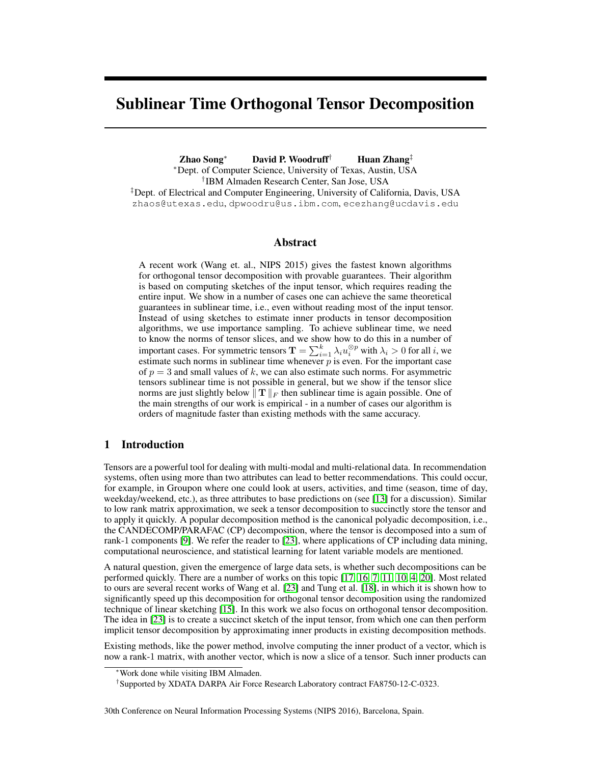# <span id="page-0-0"></span>Sublinear Time Orthogonal Tensor Decomposition

Zhao Song<sup>∗</sup> David P. Woodruff† Huan Zhang‡ <sup>∗</sup>Dept. of Computer Science, University of Texas, Austin, USA † IBM Almaden Research Center, San Jose, USA ‡Dept. of Electrical and Computer Engineering, University of California, Davis, USA zhaos@utexas.edu, dpwoodru@us.ibm.com, ecezhang@ucdavis.edu

#### Abstract

A recent work (Wang et. al., NIPS 2015) gives the fastest known algorithms for orthogonal tensor decomposition with provable guarantees. Their algorithm is based on computing sketches of the input tensor, which requires reading the entire input. We show in a number of cases one can achieve the same theoretical guarantees in sublinear time, i.e., even without reading most of the input tensor. Instead of using sketches to estimate inner products in tensor decomposition algorithms, we use importance sampling. To achieve sublinear time, we need to know the norms of tensor slices, and we show how to do this in a number of important cases. For symmetric tensors  $\mathbf{T} = \sum_{i=1}^{k} \lambda_i u_i^{\otimes p}$  with  $\lambda_i > 0$  for all i, we estimate such norms in sublinear time whenever  $\overline{p}$  is even. For the important case of  $p = 3$  and small values of k, we can also estimate such norms. For asymmetric tensors sublinear time is not possible in general, but we show if the tensor slice norms are just slightly below  $||T||_F$  then sublinear time is again possible. One of the main strengths of our work is empirical - in a number of cases our algorithm is orders of magnitude faster than existing methods with the same accuracy.

# <span id="page-0-1"></span>1 Introduction

Tensors are a powerful tool for dealing with multi-modal and multi-relational data. In recommendation systems, often using more than two attributes can lead to better recommendations. This could occur, for example, in Groupon where one could look at users, activities, and time (season, time of day, weekday/weekend, etc.), as three attributes to base predictions on (see [\[13\]](#page-8-0) for a discussion). Similar to low rank matrix approximation, we seek a tensor decomposition to succinctly store the tensor and to apply it quickly. A popular decomposition method is the canonical polyadic decomposition, i.e., the CANDECOMP/PARAFAC (CP) decomposition, where the tensor is decomposed into a sum of rank-1 components [\[9\]](#page-8-1). We refer the reader to [\[23\]](#page-8-2), where applications of CP including data mining, computational neuroscience, and statistical learning for latent variable models are mentioned.

A natural question, given the emergence of large data sets, is whether such decompositions can be performed quickly. There are a number of works on this topic [\[17,](#page-8-3) [16,](#page-8-4) [7,](#page-8-5) [11,](#page-8-6) [10,](#page-8-7) [4,](#page-8-8) [20\]](#page-8-9). Most related to ours are several recent works of Wang et al. [\[23\]](#page-8-2) and Tung et al. [\[18\]](#page-8-10), in which it is shown how to significantly speed up this decomposition for orthogonal tensor decomposition using the randomized technique of linear sketching [\[15\]](#page-8-11). In this work we also focus on orthogonal tensor decomposition. The idea in [\[23\]](#page-8-2) is to create a succinct sketch of the input tensor, from which one can then perform implicit tensor decomposition by approximating inner products in existing decomposition methods.

Existing methods, like the power method, involve computing the inner product of a vector, which is now a rank-1 matrix, with another vector, which is now a slice of a tensor. Such inner products can

<sup>∗</sup>Work done while visiting IBM Almaden.

<sup>†</sup> Supported by XDATA DARPA Air Force Research Laboratory contract FA8750-12-C-0323.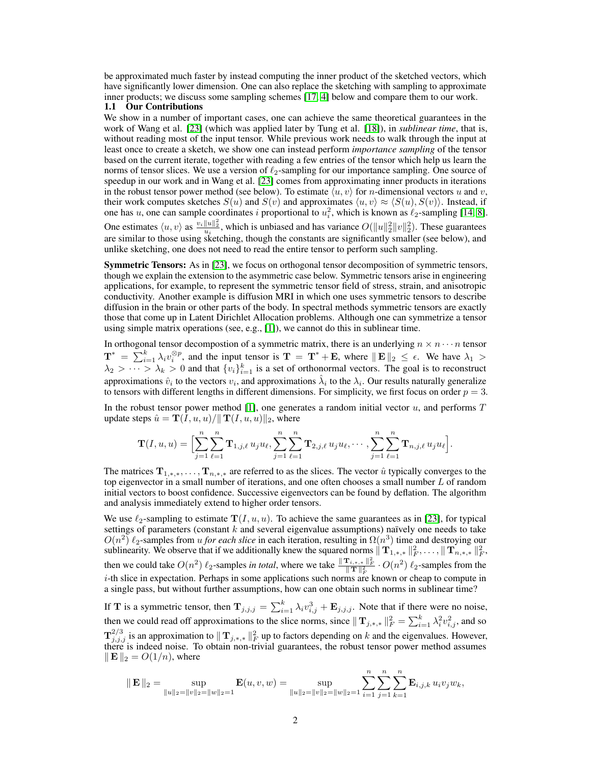be approximated much faster by instead computing the inner product of the sketched vectors, which have significantly lower dimension. One can also replace the sketching with sampling to approximate inner products; we discuss some sampling schemes [\[17,](#page-8-3) [4\]](#page-8-8) below and compare them to our work.

#### 1.1 Our Contributions

We show in a number of important cases, one can achieve the same theoretical guarantees in the work of Wang et al. [\[23\]](#page-8-2) (which was applied later by Tung et al. [\[18\]](#page-8-10)), in *sublinear time*, that is, without reading most of the input tensor. While previous work needs to walk through the input at least once to create a sketch, we show one can instead perform *importance sampling* of the tensor based on the current iterate, together with reading a few entries of the tensor which help us learn the norms of tensor slices. We use a version of  $\ell_2$ -sampling for our importance sampling. One source of speedup in our work and in Wang et al. [\[23\]](#page-8-2) comes from approximating inner products in iterations in the robust tensor power method (see below). To estimate  $\langle u, v \rangle$  for *n*-dimensional vectors u and v, their work computes sketches  $S(u)$  and  $S(v)$  and approximates  $\langle u, v \rangle \approx \langle S(u), S(v) \rangle$ . Instead, if one has u, one can sample coordinates i proportional to  $u_i^2$ , which is known as  $\ell_2$ -sampling [\[14,](#page-8-12) [8\]](#page-8-13). One estimates  $\langle u, v \rangle$  as  $\frac{v_i ||u||_2^2}{u_i}$ , which is unbiased and has variance  $O(||u||_2^2 ||v||_2^2)$ . These guarantees are similar to those using sketching, though the constants are significantly smaller (see below), and unlike sketching, one does not need to read the entire tensor to perform such sampling.

Symmetric Tensors: As in [\[23\]](#page-8-2), we focus on orthogonal tensor decomposition of symmetric tensors, though we explain the extension to the asymmetric case below. Symmetric tensors arise in engineering applications, for example, to represent the symmetric tensor field of stress, strain, and anisotropic conductivity. Another example is diffusion MRI in which one uses symmetric tensors to describe diffusion in the brain or other parts of the body. In spectral methods symmetric tensors are exactly those that come up in Latent Dirichlet Allocation problems. Although one can symmetrize a tensor using simple matrix operations (see, e.g.,  $[1]$ ), we cannot do this in sublinear time.

In orthogonal tensor decompostion of a symmetric matrix, there is an underlying  $n \times n \cdots n$  tensor  $\mathbf{T}^* = \sum_{i=1}^k \lambda_i v_i^{\otimes p}$ , and the input tensor is  $\mathbf{T} = \mathbf{T}^* + \mathbf{E}$ , where  $\|\mathbf{E}\|_2 \leq \epsilon$ . We have  $\lambda_1 >$  $\lambda_2 > \cdots > \lambda_k > 0$  and that  $\{v_i\}_{i=1}^k$  is a set of orthonormal vectors. The goal is to reconstruct approximations  $\hat{v}_i$  to the vectors  $v_i$ , and approximations  $\hat{\lambda}_i$  to the  $\lambda_i$ . Our results naturally generalize to tensors with different lengths in different dimensions. For simplicity, we first focus on order  $p = 3$ .

In the robust tensor power method [\[1\]](#page-8-14), one generates a random initial vector  $u$ , and performs  $T$ update steps  $\hat{u} = \mathbf{T}(I, u, u) / || \mathbf{T}(I, u, u)||_2$ , where

$$
\mathbf{T}(I, u, u) = \Bigl[ \sum_{j=1}^n \sum_{\ell=1}^n \mathbf{T}_{1,j,\ell} u_j u_\ell, \sum_{j=1}^n \sum_{\ell=1}^n \mathbf{T}_{2,j,\ell} u_j u_\ell, \cdots, \sum_{j=1}^n \sum_{\ell=1}^n \mathbf{T}_{n,j,\ell} u_j u_\ell \Bigr].
$$

The matrices  $T_{1,*,*,}, \ldots, T_{n,*,*}$  are referred to as the slices. The vector  $\hat{u}$  typically converges to the top eigenvector in a small number of iterations, and one often chooses a small number  $L$  of random initial vectors to boost confidence. Successive eigenvectors can be found by deflation. The algorithm and analysis immediately extend to higher order tensors.

We use  $\ell_2$ -sampling to estimate  $\mathbf{T}(I, u, u)$ . To achieve the same guarantees as in [\[23\]](#page-8-2), for typical settings of parameters (constant  $k$  and several eigenvalue assumptions) naïvely one needs to take  $O(n^2)$   $\ell_2$ -samples from u *for each slice* in each iteration, resulting in  $\Omega(n^3)$  time and destroying our sublinearity. We observe that if we additionally knew the squared norms  $\|\mathbf{T}_{1,*,*}\|_F^2,\ldots,\|\mathbf{T}_{n,*,*}\|_F^2,$ then we could take  $O(n^2)$   $\ell_2$ -samples *in total*, where we take  $\frac{\|{\bf T}_{i,*,*}\|^2_F}{\|{\bf T}\|^2_F} \cdot O(n^2)$   $\ell_2$ -samples from the  $i$ -th slice in expectation. Perhaps in some applications such norms are known or cheap to compute in a single pass, but without further assumptions, how can one obtain such norms in sublinear time?

If T is a symmetric tensor, then  $T_{j,j,j} = \sum_{i=1}^{k} \lambda_i v_{i,j}^3 + E_{j,j,j}$ . Note that if there were no noise, then we could read off approximations to the slice norms, since  $||\mathbf{T}_{j,*,*}||_F^2 = \sum_{i=1}^k \lambda_i^2 v_{i,j}^2$ , and so  $\mathbf{T}_{j,j,j}^{2/3}$  is an approximation to  $||\mathbf{T}_{j,*,*}||_F^2$  up to factors depending on k and the eigenvalues. However, there is indeed noise. To obtain non-trivial guarantees, the robust tensor power method assumes  $\mathbb{E} \parallel_2 = O(1/n)$ , where

$$
\|\mathbf{E}\|_2 = \sup_{\|u\|_2 = \|v\|_2 = \|w\|_2 = 1} \mathbf{E}(u, v, w) = \sup_{\|u\|_2 = \|v\|_2 = \|w\|_2 = 1} \sum_{i=1}^n \sum_{j=1}^n \sum_{k=1}^n \mathbf{E}_{i, j, k} u_i v_j w_k,
$$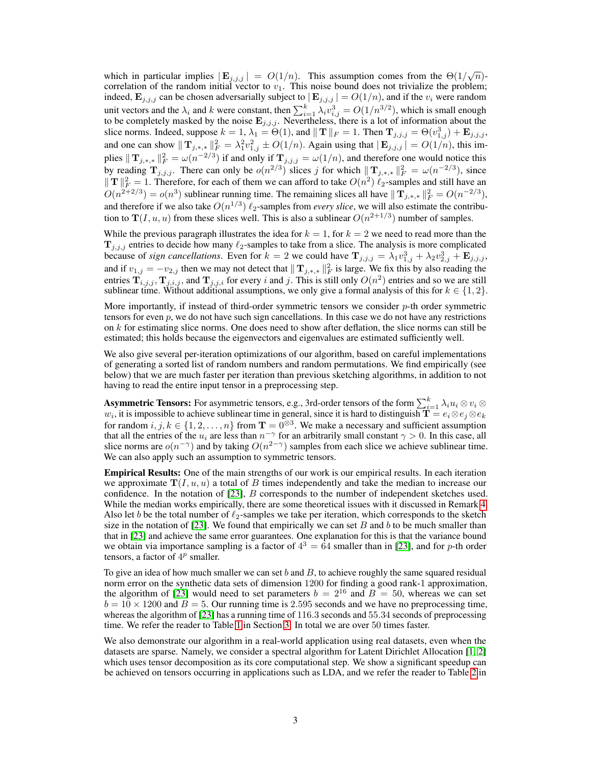which in particular implies  $|E_{j,j,j}| = O(1/n)$ . This assumption comes from the  $\Theta(1/\sqrt{n})$ correlation of the random initial vector to  $v_1$ . This noise bound does not trivialize the problem; indeed,  $\mathbf{E}_{j,j,j}$  can be chosen adversarially subject to  $|\mathbf{E}_{j,j,j}| = O(1/n)$ , and if the  $v_i$  were random unit vectors and the  $\lambda_i$  and k were constant, then  $\sum_{i=1}^k \lambda_i v_{i,j}^3 = O(1/n^{3/2})$ , which is small enough to be completely masked by the noise  $\mathbf{E}_{j,j,j}$ . Nevertheless, there is a lot of information about the slice norms. Indeed, suppose  $k = 1$ ,  $\lambda_1 = \Theta(1)$ , and  $|| \mathbf{T} ||_F = 1$ . Then  $\mathbf{T}_{j,j,j} = \Theta(v_{1,j}^3) + \mathbf{E}_{j,j,j}$ , and one can show  $||\mathbf{T}_{j,*,*}||_F^2 = \lambda_1^2 v_{1,j}^2 \pm O(1/n)$ . Again using that  $|\mathbf{E}_{j,j,j}| = O(1/n)$ , this implies  $||\mathbf{T}_{j,*,*}||_F^2 = \omega(n^{-2/3})$  if and only if  $\mathbf{T}_{j,j,j} = \omega(1/n)$ , and therefore one would notice this by reading  $\mathbf{T}_{j,j,j}$ . There can only be  $o(n^{2/3})$  slices j for which  $\|\mathbf{T}_{j,*,*}\|_{F}^{2} = \omega(n^{-2/3})$ , since  $||T||_F^2 = 1$ . Therefore, for each of them we can afford to take  $O(n^2) \ell_2$ -samples and still have an  $O(n^{2+2/3}) = o(n^3)$  sublinear running time. The remaining slices all have  $|| \mathbf{T}_{j,*,*} ||_F^2 = O(n^{-2/3})$ , and therefore if we also take  $O(n^{1/3}) \ell_2$ -samples from *every slice*, we will also estimate the contribution to  $\mathbf{T}(I, u, u)$  from these slices well. This is also a sublinear  $O(n^{2+1/3})$  number of samples.

While the previous paragraph illustrates the idea for  $k = 1$ , for  $k = 2$  we need to read more than the  $T_{i,j,j}$  entries to decide how many  $\ell_2$ -samples to take from a slice. The analysis is more complicated because of *sign cancellations*. Even for  $k = 2$  we could have  $\mathbf{T}_{j,j,j} = \lambda_1 v_{1,j}^3 + \lambda_2 v_{2,j}^3 + \mathbf{E}_{j,j,j}$ , and if  $v_{1,j} = -v_{2,j}$  then we may not detect that  $||\mathbf{T}_{j,*,*}||_F^2$  is large. We fix this by also reading the entries  $\mathbf{T}_{i,j,j}$ ,  $\mathbf{T}_{j,i,j}$ , and  $\mathbf{T}_{j,j,i}$  for every i and j. This is still only  $O(n^2)$  entries and so we are still sublinear time. Without additional assumptions, we only give a formal analysis of this for  $k \in \{1, 2\}$ .

More importantly, if instead of third-order symmetric tensors we consider  $p$ -th order symmetric tensors for even  $p$ , we do not have such sign cancellations. In this case we do not have any restrictions on k for estimating slice norms. One does need to show after deflation, the slice norms can still be estimated; this holds because the eigenvectors and eigenvalues are estimated sufficiently well.

We also give several per-iteration optimizations of our algorithm, based on careful implementations of generating a sorted list of random numbers and random permutations. We find empirically (see below) that we are much faster per iteration than previous sketching algorithms, in addition to not having to read the entire input tensor in a preprocessing step.

**Asymmetric Tensors:** For asymmetric tensors, e.g., 3rd-order tensors of the form  $\sum_{i=1}^k \lambda_i u_i\otimes v_i\otimes$  $w_i$ , it is impossible to achieve sublinear time in general, since it is hard to distinguish  $\dot{\mathbf{T}} = e_i \otimes e_j \otimes e_k$ for random  $i, j, k \in \{1, 2, ..., n\}$  from  $\mathbf{T} = 0^{\otimes 3}$ . We make a necessary and sufficient assumption that all the entries of the  $u_i$  are less than  $n^{-\gamma}$  for an arbitrarily small constant  $\gamma > 0$ . In this case, all slice norms are  $o(n^{-\gamma})$  and by taking  $O(n^{2-\gamma})$  samples from each slice we achieve sublinear time. We can also apply such an assumption to symmetric tensors.

Empirical Results: One of the main strengths of our work is our empirical results. In each iteration we approximate  $T(I, u, u)$  a total of B times independently and take the median to increase our confidence. In the notation of [\[23\]](#page-8-2), B corresponds to the number of independent sketches used. While the median works empirically, there are some theoretical issues with it discussed in Remark [4.](#page-4-0) Also let b be the total number of  $\ell_2$ -samples we take per iteration, which corresponds to the sketch size in the notation of [\[23\]](#page-8-2). We found that empirically we can set  $B$  and  $b$  to be much smaller than that in [\[23\]](#page-8-2) and achieve the same error guarantees. One explanation for this is that the variance bound we obtain via importance sampling is a factor of  $4^3 = 64$  smaller than in [\[23\]](#page-8-2), and for p-th order tensors, a factor of  $4^p$  smaller.

To give an idea of how much smaller we can set b and  $B$ , to achieve roughly the same squared residual norm error on the synthetic data sets of dimension 1200 for finding a good rank-1 approximation, the algorithm of [\[23\]](#page-8-2) would need to set parameters  $b = 2^{16}$  and  $B = 50$ , whereas we can set  $b = 10 \times 1200$  and  $B = 5$ . Our running time is 2.595 seconds and we have no preprocessing time, whereas the algorithm of [\[23\]](#page-8-2) has a running time of 116.3 seconds and 55.34 seconds of preprocessing time. We refer the reader to Table [1](#page-7-0) in Section [3.](#page-6-0) In total we are over 50 times faster.

We also demonstrate our algorithm in a real-world application using real datasets, even when the datasets are sparse. Namely, we consider a spectral algorithm for Latent Dirichlet Allocation [\[1,](#page-8-14) [2\]](#page-8-15) which uses tensor decomposition as its core computational step. We show a significant speedup can be achieved on tensors occurring in applications such as LDA, and we refer the reader to Table [2](#page-7-1) in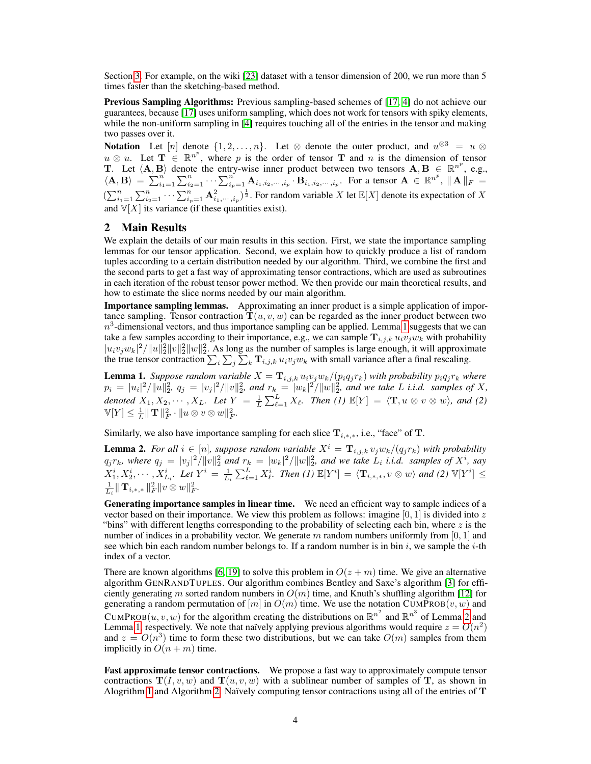Section [3.](#page-6-0) For example, on the wiki [\[23\]](#page-8-2) dataset with a tensor dimension of 200, we run more than 5 times faster than the sketching-based method.

Previous Sampling Algorithms: Previous sampling-based schemes of [\[17,](#page-8-3) [4\]](#page-8-8) do not achieve our guarantees, because [\[17\]](#page-8-3) uses uniform sampling, which does not work for tensors with spiky elements, while the non-uniform sampling in [\[4\]](#page-8-8) requires touching all of the entries in the tensor and making two passes over it.

Notation Let  $[n]$  denote  $\{1, 2, ..., n\}$ . Let  $\otimes$  denote the outer product, and  $u^{\otimes 3} = u \otimes$  $u \otimes u$ . Let  $\mathbf{T} \in \mathbb{R}^{n^p}$ , where p is the order of tensor  $\mathbf{T}$  and n is the dimension of tensor T. Let  $\langle A, B \rangle$  denote the entry-wise inner product between two tensors  $A, B \in \mathbb{R}^{n^p}$ , e.g.,  $\langle \mathbf{A}, \mathbf{B} \rangle = \sum_{i=1}^n \sum_{i=1}^n \cdots \sum_{i_p=1}^n \mathbf{A}_{i_1, i_2, \cdots, i_p} \cdot \mathbf{B}_{i_1, i_2, \cdots, i_p}$ . For a tensor  $\mathbf{A} \in \mathbb{R}^{n^p}$ ,  $\|\mathbf{A}\|_F =$  $(\sum_{i=1}^n \sum_{i=1}^n \cdots \sum_{i_p=1}^n \mathbf{A}_{i_1,\dots,i_p}^2)^{\frac{1}{2}}$ . For random variable X let  $\mathbb{E}[X]$  denote its expectation of X and  $\mathbb{V}[X]$  its variance (if these quantities exist).

## 2 Main Results

We explain the details of our main results in this section. First, we state the importance sampling lemmas for our tensor application. Second, we explain how to quickly produce a list of random tuples according to a certain distribution needed by our algorithm. Third, we combine the first and the second parts to get a fast way of approximating tensor contractions, which are used as subroutines in each iteration of the robust tensor power method. We then provide our main theoretical results, and how to estimate the slice norms needed by our main algorithm.

Importance sampling lemmas. Approximating an inner product is a simple application of importance sampling. Tensor contraction  $T(u, v, w)$  can be regarded as the inner product between two  $n<sup>3</sup>$ -dimensional vectors, and thus importance sampling can be applied. Lemma [1](#page-3-0) suggests that we can take a few samples according to their importance, e.g., we can sample  $T_{i,j,k} u_i v_j w_k$  with probability  $|u_i v_j w_k|^2 / ||u||_2^2 ||v||_2^2$  As long as the number of samples is large enough, it will approximate the true tensor contraction  $\sum_i \sum_j \sum_k \mathbf{T}_{i,j,k} u_i v_j w_k$  with small variance after a final rescaling.

<span id="page-3-0"></span>**Lemma 1.** *Suppose random variable*  $X = \mathbf{T}_{i,j,k} u_i v_j w_k / (p_i q_j r_k)$  *with probability*  $p_i q_j r_k$  *where*  $p_i = |u_i|^2 / ||u||_2^2$ ,  $q_j = |v_j|^2 / ||v||_2^2$ , and  $r_k = |w_k|^2 / ||w||_2^2$ , and we take L *i.i.d.* samples of X, denoted  $X_1, X_2, \cdots, X_L$ . Let  $Y = \frac{1}{L} \sum_{\ell=1}^L X_\ell$ . Then (1)  $\mathbb{E}[Y] = \langle \mathbf{T}, u \otimes v \otimes w \rangle$ , and (2)  $\mathbb{V}[Y] \leq \frac{1}{L} \| \mathbf{T} \|_F^2 \cdot \| u \otimes v \otimes w \|_F^2.$ 

Similarly, we also have importance sampling for each slice  $T_{i,*,*}$ , i.e., "face" of T.

<span id="page-3-1"></span>**Lemma 2.** For all  $i \in [n]$ , suppose random variable  $X^i = \mathbf{T}_{i,j,k} v_j w_k / (q_j r_k)$  with probability  $q_j r_k$ , where  $q_j = |v_j|^2 / ||v||_2^2$  and  $r_k = |w_k|^2 / ||w||_2^2$ , and we take  $L_i$  *i.i.d.* samples of  $X^i$ , say  $X_1^i, X_2^i, \cdots, X_{L_i}^i$ . Let  $Y^i = \frac{1}{L_i} \sum_{\ell=1}^L X_{\ell}^i$ . Then (1)  $\mathbb{E}[Y^i] = \langle \mathbf{T}_{i,*,*}, v \otimes w \rangle$  and (2)  $\mathbb{V}[Y^i] \leq$  $\frac{1}{L_i} \| \mathbf{T}_{i,*,*} \|_F^2 \| v \otimes w \|_F^2.$ 

Generating importance samples in linear time. We need an efficient way to sample indices of a vector based on their importance. We view this problem as follows: imagine  $[0, 1]$  is divided into z "bins" with different lengths corresponding to the probability of selecting each bin, where  $z$  is the number of indices in a probability vector. We generate m random numbers uniformly from  $[0, 1]$  and see which bin each random number belongs to. If a random number is in bin  $i$ , we sample the  $i$ -th index of a vector.

There are known algorithms [\[6,](#page-8-16) [19\]](#page-8-17) to solve this problem in  $O(z + m)$  time. We give an alternative algorithm GENRANDTUPLES. Our algorithm combines Bentley and Saxe's algorithm [\[3\]](#page-8-18) for efficiently generating m sorted random numbers in  $O(m)$  time, and Knuth's shuffling algorithm [\[12\]](#page-8-19) for generating a random permutation of  $[m]$  in  $O(m)$  time. We use the notation CUMPROB $(v, w)$  and CUMPROB $(u, v, w)$  for the algorithm creating the distributions on  $\mathbb{R}^{n^2}$  and  $\mathbb{R}^{n^3}$  of Lemma [2](#page-3-1) and Lemma [1,](#page-3-0) respectively. We note that naïvely applying previous algorithms would require  $z = O(n^2)$ and  $z = O(n^3)$  time to form these two distributions, but we can take  $O(m)$  samples from them implicitly in  $O(n + m)$  time.

Fast approximate tensor contractions. We propose a fast way to approximately compute tensor contractions  $T(I, v, w)$  and  $T(u, v, w)$  with a sublinear number of samples of T, as shown in Alogrithm [1](#page-4-1) and Algorithm [2.](#page-4-1) Naïvely computing tensor contractions using all of the entries of  $T$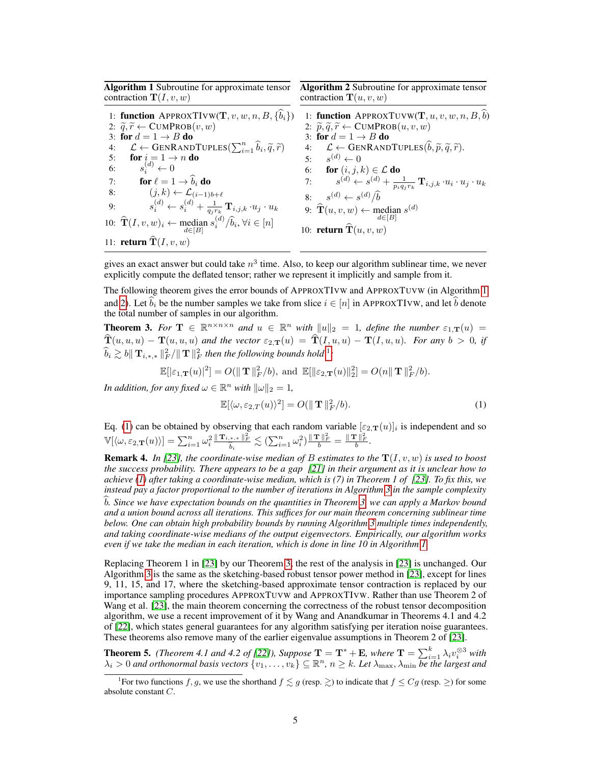<span id="page-4-1"></span>Algorithm 1 Subroutine for approximate tensor contraction  $\mathbf{T}(I, v, w)$ 

1: function APPROXTIVW(T,  $v, w, n, B, \{\hat{b}_i\})$ 2:  $\widetilde{q}, \widetilde{r} \leftarrow \text{CUMPROB}(v, w)$ 3: for  $d = 1 \rightarrow B$  do 4:  $\mathcal{L} \leftarrow \text{GENRANDTUPLES}(\sum_{i=1}^{n} \hat{b}_i, \tilde{q}, \tilde{r})$ <br>5: **for**  $i = 1 \rightarrow n$  **do** 6:  $s_i^{(d)} \leftarrow 0$ 7: **for**  $\ell = 1 \rightarrow b_i$  **do**<br>8:  $(j, k) \leftarrow \mathcal{L}_{(i-1)b+\ell}$ 9:  $s_i^{(d)} \leftarrow s_i^{(d)} + \frac{1}{q_j r_k} \mathbf{T}_{i,j,k} \cdot u_j \cdot u_k$ 10:  $\widehat{\mathbf{T}}(I, v, w)_i \leftarrow \text{median } s_i^{(d)} / \widehat{b}_i, \forall i \in [n]$ 11: **return**  $\mathbf{T}(I, v, w)$ 

Algorithm 2 Subroutine for approximate tensor contraction  $\mathbf{T}(u, v, w)$ 

1: function APPROXTUVW(T,  $u, v, w, n, B, \widehat{b}$ )

2:  $\widetilde{p}, \widetilde{q}, \widetilde{r} \leftarrow \text{CUMPROB}(u, v, w)$ 3: for  $d = 1 \rightarrow B$  do

4:  $\mathcal{L} \leftarrow \text{GENRANDTUPLES}(\hat{b}, \tilde{p}, \tilde{q}, \tilde{r}).$ 

5: 
$$
s^{(d)} \leftarrow 0
$$
  
\n6: **for**  $(i, j, k) \in \mathcal{L}$  **do**  
\n7:  $s^{(d)} \leftarrow s^{(d)} + \frac{1}{p_i q_j r_k} \mathbf{T}_{i, j, k} \cdot u_i \cdot u_j \cdot u_k$   
\n8:  $s^{(d)} \leftarrow s^{(d)}/\hat{b}$ 

9: 
$$
\widehat{\mathbf{T}}(u, v, w) \leftarrow \text{median } s^{(d)}
$$

10: return 
$$
\mathbf{T}(u, v, w)
$$

gives an exact answer but could take  $n^3$  time. Also, to keep our algorithm sublinear time, we never explicitly compute the deflated tensor; rather we represent it implicitly and sample from it.

The following theorem gives the error bounds of APPROXTIVW and APPROXTUVW (in Algorithm [1](#page-4-1) and [2\)](#page-4-1). Let  $b_i$  be the number samples we take from slice  $i \in [n]$  in APPROXTIVW, and let  $\hat{b}$  denote the total number of samples in our algorithm.

<span id="page-4-3"></span>**Theorem 3.** For  $\mathbf{T} \in \mathbb{R}^{n \times n \times n}$  and  $u \in \mathbb{R}^n$  with  $||u||_2 = 1$ , define the number  $\varepsilon_{1,\mathbf{T}}(u) =$  $\widehat{\mathbf{T}}(u, u, u) - \mathbf{T}(u, u, u)$  and the vector  $\varepsilon_{2,\mathbf{T}}(u) = \widehat{\mathbf{T}}(I, u, u) - \mathbf{T}(I, u, u)$ *. For any*  $b > 0$ *, if*  $\widehat{b}_i \gtrsim b \|\mathbf{T}_{i,*,*}\|_F^2 / \|\mathbf{T}\|_F^2$  then the following bounds hold <sup>[1](#page-0-0)</sup>:

$$
\mathbb{E}[|\varepsilon_{1,\mathbf{T}}(u)|^2] = O(\|\mathbf{T}\|_F^2/b), \text{ and } \mathbb{E}[\|\varepsilon_{2,\mathbf{T}}(u)\|_2^2] = O(n\|\mathbf{T}\|_F^2/b).
$$

*In addition, for any fixed*  $\omega \in \mathbb{R}^n$  *with*  $\|\omega\|_2 = 1$ *,* 

<span id="page-4-2"></span>
$$
\mathbb{E}[\langle \omega, \varepsilon_{2,T}(u) \rangle^2] = O(\|\mathbf{T}\|_F^2/b). \tag{1}
$$

Eq. [\(1\)](#page-4-2) can be obtained by observing that each random variable  $[\epsilon_{2,T}(u)]_i$  is independent and so  $\mathbb{V}[\langle \omega, \varepsilon_{2,\mathbf{T}}(u) \rangle] = \sum_{i=1}^n \omega_i^2 \frac{\|\mathbf{T}_{i,*,*}\|_F^2}{\hat{b}_i} \lesssim (\sum_{i=1}^n \omega_i^2) \frac{\|\mathbf{T}\|_F^2}{b} = \frac{\|\mathbf{T}\|_F^2}{b}.$ 

<span id="page-4-0"></span>**Remark 4.** In [\[23\]](#page-8-2), the coordinate-wise median of B estimates to the  $T(I, v, w)$  is used to boost *the success probability. There appears to be a gap [\[21\]](#page-8-20) in their argument as it is unclear how to achieve [\(1\)](#page-4-2) after taking a coordinate-wise median, which is (7) in Theorem 1 of [\[23\]](#page-8-2). To fix this, we instead pay a factor proportional to the number of iterations in Algorithm [3](#page-5-0) in the sample complexity* b. Since we have expectation bounds on the quantities in Theorem [3,](#page-4-3) we can apply a Markov bound *and a union bound across all iterations. This suffices for our main theorem concerning sublinear time below. One can obtain high probability bounds by running Algorithm [3](#page-5-0) multiple times independently, and taking coordinate-wise medians of the output eigenvectors. Empirically, our algorithm works even if we take the median in each iteration, which is done in line 10 in Algorithm [1.](#page-4-1)*

Replacing Theorem 1 in [\[23\]](#page-8-2) by our Theorem [3,](#page-4-3) the rest of the analysis in [\[23\]](#page-8-2) is unchanged. Our Algorithm [3](#page-5-0) is the same as the sketching-based robust tensor power method in [\[23\]](#page-8-2), except for lines 9, 11, 15, and 17, where the sketching-based approximate tensor contraction is replaced by our importance sampling procedures APPROXTUVW and APPROXTIVW. Rather than use Theorem 2 of Wang et al. [\[23\]](#page-8-2), the main theorem concerning the correctness of the robust tensor decomposition algorithm, we use a recent improvement of it by Wang and Anandkumar in Theorems 4.1 and 4.2 of [\[22\]](#page-8-21), which states general guarantees for any algorithm satisfying per iteration noise guarantees. These theorems also remove many of the earlier eigenvalue assumptions in Theorem 2 of [\[23\]](#page-8-2).

<span id="page-4-4"></span>**Theorem 5.** *(Theorem 4.1 and 4.2 of [\[22\]](#page-8-21)), Suppose*  $\mathbf{T} = \mathbf{T}^* + \mathbf{E}$ *, where*  $\mathbf{T} = \sum_{i=1}^k \lambda_i v_i^{\otimes 3}$  with  $\{\lambda_i > 0\}$  and orthonormal basis vectors  $\{v_1, \ldots, v_k\} \subseteq \mathbb{R}^n$ ,  $n \geq k$ . Let  $\lambda_{\max}, \lambda_{\min}$  be the largest and

<sup>&</sup>lt;sup>1</sup>For two functions f, g, we use the shorthand  $f \lesssim g$  (resp.  $\gtrsim$ ) to indicate that  $f \leq Cg$  (resp.  $\geq$ ) for some absolute constant C.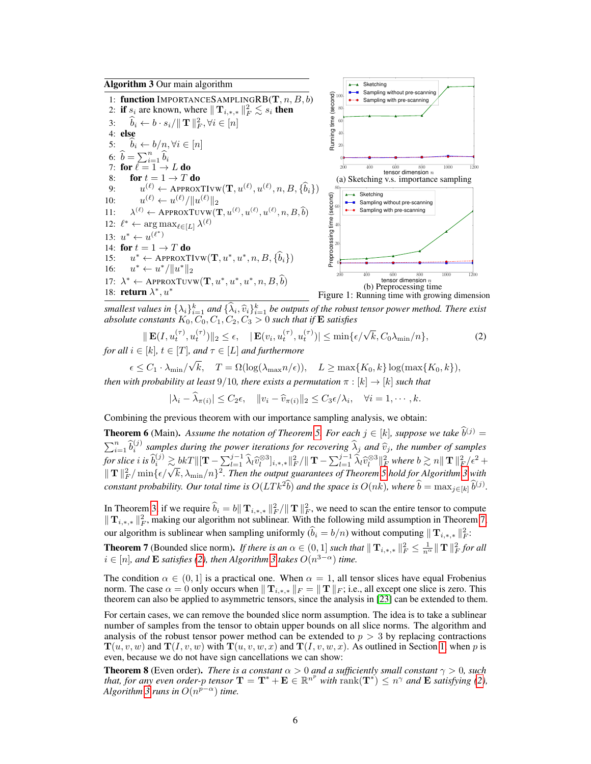<span id="page-5-0"></span>

smallest values in  $\{\lambda_i\}_{i=1}^k$  and  $\{\hat{\lambda}_i, \hat{v}_i\}_{i=1}^k$  be outputs of the robust tensor power method. There exist<br>absolute constants  $K_0$ ,  $C_0$ ,  $C_1$ ,  $C_2$ ,  $C_3$ ,  $\infty$ , 0 such that if **F**, satisfies *absolute constants*  $K_0, C_0, C_1, C_2, C_3 > 0$  *such that if*  $\bf E$  *satisfies* 

<span id="page-5-2"></span>
$$
\|\mathbf{E}(I, u_t^{(\tau)}, u_t^{(\tau)})\|_2 \le \epsilon, \quad |\mathbf{E}(v_i, u_t^{(\tau)}, u_t^{(\tau)})| \le \min\{\epsilon/\sqrt{k}, C_0\lambda_{\min}/n\},\tag{2}
$$

*for all*  $i \in [k], t \in [T]$ *, and*  $\tau \in [L]$  *and furthermore*  $\epsilon \leq C_1 \cdot \lambda_{\min}/$ √ k,  $T = \Omega(\log(\lambda_{\max} n/\epsilon)), \quad L \ge \max\{K_0, k\} \log(\max\{K_0, k\}),$ 

*then with probability at least* 9/10*, there exists a permutation*  $\pi : [k] \rightarrow [k]$  *such that* 

 $|\lambda_i - \lambda_{\pi(i)}| \leq C_2 \epsilon, \quad ||v_i - \widehat{v}_{\pi(i)}||_2 \leq C_3 \epsilon / \lambda_i, \quad \forall i = 1, \cdots, k.$ 

Combining the previous theorem with our importance sampling analysis, we obtain:

**Theorem 6** (Main). Assume the notation of Theorem [5.](#page-4-4) For each  $j \in [k]$ , suppose we take  $\hat{b}^{(j)} = \hat{b}^{(j)}$  $\sum_{i=1}^n \hat{b}_i^{(j)}$  samples during the power iterations for recovering  $\hat{\lambda}_j$  and  $\hat{v}_j$ , the number of samples  $f$  *or slice i* is  $\widehat{b}_{i}^{(j)} \gtrsim bkT \|\|\mathbf{T} - \sum_{l=1}^{j-1} \widehat{\lambda}_{l} \widehat{v}_{l}^{\otimes 3}\|_{k,*,*}^{2} \|\|_{F}^{2} \|\mathbf{T} - \sum_{l=1}^{j-1} \widehat{\lambda}_{l} \widehat{v}_{l}^{\otimes 3}\|_{F}^{2}$  where  $b \gtrsim n \|\mathbf{T}\|_{F}^{2} / \epsilon^{2} + \|\mathbf{T}\|_{F}^{2} \|\mathbf{T}\|_{F}^{2}$ For site  $v$  is  $\sigma_i \gtrsim \sigma \kappa I ||\mathbf{I} - \sum_{l=1}^{\infty} \lambda_l v_l||_{\mathbf{I}^*}$  is,  $v_{k+1}||\mathbf{I} - \sum_{l=1}^{\infty} \lambda_l v_l||_{\mathbf{I}^*}$  where  $v \gtrsim n ||\mathbf{I}||_{\mathbf{F}}$  is  $v \in \mathbb{R}$  if  $\mathbb{R}$  with  $\mathbb{R}$   $\mathbb{R}$  if  $\mathbb{R}$  is  $\mathbb{R}$  *constant probability. Our total time is*  $O(LTk^2\tilde{b})$  *and the space is*  $O(nk)$ *, where*  $\tilde{b} = \max_{j \in [k]} \tilde{b}^{(j)}$ *.* 

In Theorem [3,](#page-4-3) if we require  $\hat{b}_i = b \|\mathbf{T}_{i,*,*} \|_F^2 / \|\mathbf{T}\|_F^2$ , we need to scan the entire tensor to compute  $||{\bf T}_{i,*,*}||_F^2$ , making our algorithm not sublinear. With the following mild assumption in Theorem [7,](#page-5-1) our algorithm is sublinear when sampling uniformly  $(\tilde{b}_i = b/n)$  without computing  $|| \mathbf{T}_{i,*,*} ||_F^2$ :

<span id="page-5-1"></span>**Theorem 7** (Bounded slice norm). *If there is an*  $\alpha \in (0,1]$  *such that*  $\|\mathbf{T}_{i,*,*}\|_F^2 \leq \frac{1}{n^{\alpha}} \|\mathbf{T}\|_F^2$  *for all*  $i \in [n]$ *, and* **E** *satisfies* [\(2\)](#page-5-2)*, then Algorithm [3](#page-5-0) takes*  $O(n^{3-\alpha})$  *time.* 

The condition  $\alpha \in (0,1]$  is a practical one. When  $\alpha = 1$ , all tensor slices have equal Frobenius norm. The case  $\alpha = 0$  only occurs when  $||\mathbf{T}_{i,*,*}||_F = ||\mathbf{T}||_F$ ; i.e., all except one slice is zero. This theorem can also be applied to asymmetric tensors, since the analysis in [\[23\]](#page-8-2) can be extended to them.

For certain cases, we can remove the bounded slice norm assumption. The idea is to take a sublinear number of samples from the tensor to obtain upper bounds on all slice norms. The algorithm and analysis of the robust tensor power method can be extended to  $p > 3$  by replacing contractions  $\mathbf{T}(u, v, w)$  and  $\mathbf{T}(I, v, w)$  with  $\mathbf{T}(u, v, w, x)$  and  $\mathbf{T}(I, v, w, x)$ . As outlined in Section [1,](#page-0-1) when p is even, because we do not have sign cancellations we can show:

**Theorem 8** (Even order). *There is a constant*  $\alpha > 0$  *and a sufficiently small constant*  $\gamma > 0$ *, such that, for any even order-p tensor*  $\mathbf{T} = \mathbf{T}^* + \mathbf{E} \in \mathbb{R}^{n^p}$  *with*  $\text{rank}(\mathbf{T}^*) \leq n^{\gamma}$  *and*  $\mathbf{E}$  *satisfying* [\(2\)](#page-5-2)*, Algorithm* [3](#page-5-0) *runs in*  $O(n^{p-\alpha})$  *time.*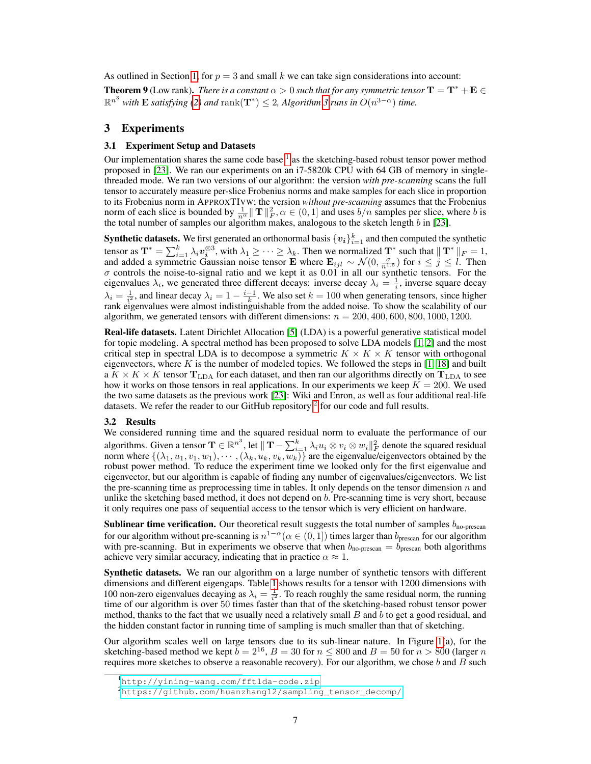As outlined in Section [1,](#page-0-1) for  $p = 3$  and small k we can take sign considerations into account:

**Theorem 9** (Low rank). *There is a constant*  $\alpha > 0$  such that for any symmetric tensor  $T = T^* + E \in$  $\mathbb{R}^{n^3}$  *with* **E** satisfying [\(2\)](#page-5-2) and  $\text{rank}(\mathbf{T}^*) \leq 2$ , Algorithm [3](#page-5-0) runs in  $O(n^{3-\alpha})$  time.

### <span id="page-6-0"></span>3 Experiments

#### 3.1 Experiment Setup and Datasets

Our implementation shares the same code base  $<sup>1</sup>$  $<sup>1</sup>$  $<sup>1</sup>$  as the sketching-based robust tensor power method</sup> proposed in [\[23\]](#page-8-2). We ran our experiments on an i7-5820k CPU with 64 GB of memory in singlethreaded mode. We ran two versions of our algorithm: the version *with pre-scanning* scans the full tensor to accurately measure per-slice Frobenius norms and make samples for each slice in proportion to its Frobenius norm in APPROXTIVW; the version *without pre-scanning* assumes that the Frobenius norm of each slice is bounded by  $\frac{1}{n^{\alpha}} || \mathbf{T} ||_F^2$ ,  $\alpha \in (0, 1]$  and uses  $b/n$  samples per slice, where b is the total number of samples our algorithm makes, analogous to the sketch length  $b$  in [\[23\]](#page-8-2).

**Synthetic datasets.** We first generated an orthonormal basis  $\{v_i\}_{i=1}^k$  and then computed the synthetic tensor as  $\mathbf{T}^* = \sum_{i=1}^k \lambda_i \boldsymbol{v}_i^{\otimes 3}$ , with  $\lambda_1 \geq \cdots \geq \lambda_k$ . Then we normalized  $\mathbf{T}^*$  such that  $||\mathbf{T}^*||_F = 1$ , and added a symmetric Gaussian noise tensor E where  $\mathbf{E}_{ijl} \sim \mathcal{N}(0, \frac{\sigma}{n^{1.5}})$  for  $i \leq j \leq l$ . Then  $\sigma$  controls the noise-to-signal ratio and we kept it as 0.01 in all our synthetic tensors. For the eigenvalues  $\lambda_i$ , we generated three different decays: inverse decay  $\lambda_i = \frac{1}{i}$ , inverse square decay  $\lambda_i = \frac{1}{i^2}$ , and linear decay  $\lambda_i = 1 - \frac{i-1}{k}$ . We also set  $k = 100$  when generating tensors, since higher rank eigenvalues were almost indistinguishable from the added noise. To show the scalability of our algorithm, we generated tensors with different dimensions:  $n = 200, 400, 600, 800, 1000, 1200$ .

Real-life datasets. Latent Dirichlet Allocation [\[5\]](#page-8-22) (LDA) is a powerful generative statistical model for topic modeling. A spectral method has been proposed to solve LDA models [\[1,](#page-8-14) [2\]](#page-8-15) and the most critical step in spectral LDA is to decompose a symmetric  $K \times K \times K$  tensor with orthogonal eigenvectors, where K is the number of modeled topics. We followed the steps in  $[1, 18]$  $[1, 18]$  $[1, 18]$  and built a  $K \times K \times K$  tensor  $T_{LDA}$  for each dataset, and then ran our algorithms directly on  $T_{LDA}$  to see how it works on those tensors in real applications. In our experiments we keep  $K = 200$ . We used the two same datasets as the previous work [\[23\]](#page-8-2): Wiki and Enron, as well as four additional real-life datasets. We refer the reader to our GitHub repository  $2$  for our code and full results.

#### 3.2 Results

We considered running time and the squared residual norm to evaluate the performance of our algorithms. Given a tensor  $\mathbf{T} \in \mathbb{R}^n$ , let  $\|\mathbf{T} - \sum_{i=1}^k \lambda_i u_i \otimes v_i \otimes w_i\|_F^2$  denote the squared residual norm where  $\{(\lambda_1, u_1, v_1, w_1), \cdots, (\lambda_k, u_k, v_k, w_k)\}\$  are the eigenvalue/eigenvectors obtained by the robust power method. To reduce the experiment time we looked only for the first eigenvalue and eigenvector, but our algorithm is capable of finding any number of eigenvalues/eigenvectors. We list the pre-scanning time as preprocessing time in tables. It only depends on the tensor dimension  $n$  and unlike the sketching based method, it does not depend on b. Pre-scanning time is very short, because it only requires one pass of sequential access to the tensor which is very efficient on hardware.

**Sublinear time verification.** Our theoretical result suggests the total number of samples  $b_{\text{no-prescan}}$ for our algorithm without pre-scanning is  $n^{1-\alpha}$  ( $\alpha \in (0,1]$ ) times larger than  $b_{\text{prescan}}$  for our algorithm with pre-scanning. But in experiments we observe that when  $b_{no-prescan} = b_{prescan}$  both algorithms achieve very similar accuracy, indicating that in practice  $\alpha \approx 1$ .

Synthetic datasets. We ran our algorithm on a large number of synthetic tensors with different dimensions and different eigengaps. Table [1](#page-7-0) shows results for a tensor with 1200 dimensions with 100 non-zero eigenvalues decaying as  $\lambda_i = \frac{1}{i^2}$ . To reach roughly the same residual norm, the running time of our algorithm is over 50 times faster than that of the sketching-based robust tensor power method, thanks to the fact that we usually need a relatively small  $B$  and  $b$  to get a good residual, and the hidden constant factor in running time of sampling is much smaller than that of sketching.

Our algorithm scales well on large tensors due to its sub-linear nature. In Figure  $1(a)$ , for the sketching-based method we kept  $b = 2^{16}$ ,  $B = 30$  for  $n \le 800$  and  $B = 50$  for  $n > 800$  (larger  $n$ requires more sketches to observe a reasonable recovery). For our algorithm, we chose  $b$  and  $B$  such

<sup>1</sup><http://yining-wang.com/fftlda-code.zip>

<sup>2</sup>[https://github.com/huanzhang12/sampling\\_tensor\\_decomp/](https://github.com/huanzhang12/sampling_tensor_decomp/)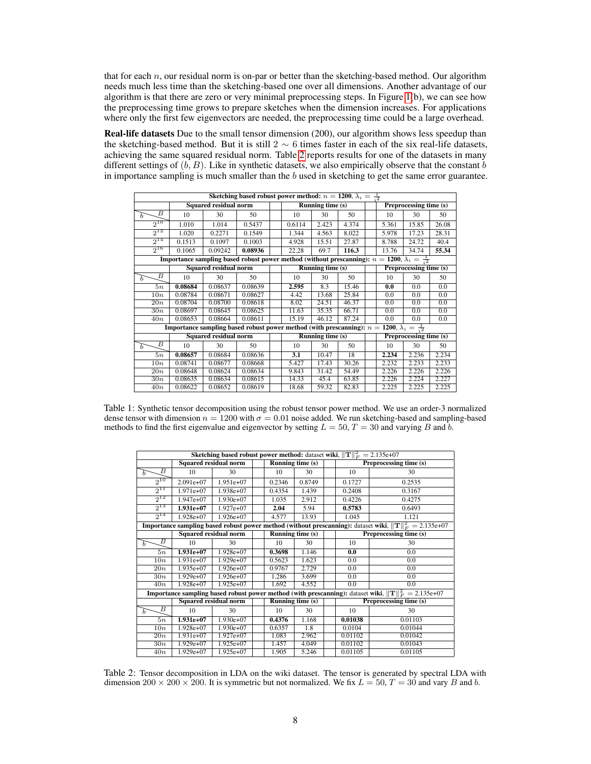that for each  $n$ , our residual norm is on-par or better than the sketching-based method. Our algorithm needs much less time than the sketching-based one over all dimensions. Another advantage of our algorithm is that there are zero or very minimal preprocessing steps. In Figure [1\(](#page-5-0)b), we can see how the preprocessing time grows to prepare sketches when the dimension increases. For applications where only the first few eigenvectors are needed, the preprocessing time could be a large overhead.

Real-life datasets Due to the small tensor dimension (200), our algorithm shows less speedup than the sketching-based method. But it is still 2  $\sim$  6 times faster in each of the six real-life datasets, achieving the same squared residual norm. Table [2](#page-7-1) reports results for one of the datasets in many different settings of  $(b, B)$ . Like in synthetic datasets, we also empirically observe that the constant b in importance sampling is much smaller than the  $b$  used in sketching to get the same error guarantee.

<span id="page-7-0"></span>

| Sketching based robust power method: $n = 1200$ , $\lambda_i = \frac{1}{12}$                              |                              |         |         |  |                         |       |       |  |                        |       |       |  |
|-----------------------------------------------------------------------------------------------------------|------------------------------|---------|---------|--|-------------------------|-------|-------|--|------------------------|-------|-------|--|
|                                                                                                           | <b>Squared residual norm</b> |         |         |  | <b>Running time (s)</b> |       |       |  | Preprocessing time (s) |       |       |  |
| В<br>Ь                                                                                                    | 10                           | 30      | 50      |  | 10                      | 30    | 50    |  | 10                     | 30    | 50    |  |
| $2^{10}$                                                                                                  | 1.010                        | 1.014   | 0.5437  |  | 0.6114                  | 2.423 | 4.374 |  | 5.361                  | 15.85 | 26.08 |  |
| $2^{12}$                                                                                                  | 1.020                        | 0.2271  | 0.1549  |  | 1.344                   | 4.563 | 8.022 |  | 5.978                  | 17.23 | 28.31 |  |
| $2^{14}$                                                                                                  | 0.1513                       | 0.1097  | 0.1003  |  | 4.928                   | 15.51 | 27.87 |  | 8.788                  | 24.72 | 40.4  |  |
| $2^{16}$                                                                                                  | 0.1065                       | 0.09242 | 0.08936 |  | 22.28                   | 69.7  | 116.3 |  | 13.76                  | 34.74 | 55.34 |  |
| Importance sampling based robust power method (without prescanning): $n = 1200, \lambda_i = \frac{1}{12}$ |                              |         |         |  |                         |       |       |  |                        |       |       |  |
|                                                                                                           | <b>Squared residual norm</b> |         |         |  | Running time (s)        |       |       |  | Preprocessing time (s) |       |       |  |
| В<br>Ь                                                                                                    | 10                           | 30      | 50      |  | 10                      | 30    | 50    |  | 10                     | 30    | 50    |  |
| 5n                                                                                                        | 0.08684                      | 0.08637 | 0.08639 |  | 2.595                   | 8.3   | 15.46 |  | 0.0                    | 0.0   | 0.0   |  |
| 10n                                                                                                       | 0.08784                      | 0.08671 | 0.08627 |  | 4.42                    | 13.68 | 25.84 |  | 0.0                    | 0.0   | 0.0   |  |
| $\overline{20n}$                                                                                          | 0.08704                      | 0.08700 | 0.08618 |  | 8.02                    | 24.51 | 46.37 |  | 0.0                    | 0.0   | 0.0   |  |
| 30n                                                                                                       | 0.08697                      | 0.08645 | 0.08625 |  | 11.63                   | 35.35 | 66.71 |  | 0.0                    | 0.0   | 0.0   |  |
| 40n                                                                                                       | 0.08653                      | 0.08664 | 0.08611 |  | 15.19                   | 46.12 | 87.24 |  | 0.0                    | 0.0   | 0.0   |  |
| Importance sampling based robust power method (with prescanning): $n = 1200$ , $\lambda_i = \frac{1}{12}$ |                              |         |         |  |                         |       |       |  |                        |       |       |  |
|                                                                                                           | <b>Squared residual norm</b> |         |         |  | <b>Running time (s)</b> |       |       |  | Preprocessing time (s) |       |       |  |
| В<br>Б                                                                                                    | 10                           | 30      | 50      |  | 10                      | 30    | 50    |  | 10                     | 30    | 50    |  |
| 5n                                                                                                        | 0.08657                      | 0.08684 | 0.08636 |  | 3.1                     | 10.47 | 18    |  | 2.234                  | 2.236 | 2.234 |  |
| 10n                                                                                                       | 0.08741                      | 0.08677 | 0.08668 |  | 5.427                   | 17.43 | 30.26 |  | 2.232                  | 2.233 | 2.233 |  |
| 20n                                                                                                       | 0.08648                      | 0.08624 | 0.08634 |  | 9.843                   | 31.42 | 54.49 |  | 2.226                  | 2.226 | 2.226 |  |
| 30n                                                                                                       | 0.08635                      | 0.08634 | 0.08615 |  | 14.33                   | 45.4  | 63.85 |  | 2.226                  | 2.224 | 2.227 |  |
| 40n                                                                                                       | 0.08622                      | 0.08652 | 0.08619 |  | 18.68                   | 59.32 | 82.83 |  | 2.225                  | 2.225 | 2.225 |  |

Table 1: Synthetic tensor decomposition using the robust tensor power method. We use an order-3 normalized dense tensor with dimension  $n = 1200$  with  $\sigma = 0.01$  noise added. We run sketching-based and sampling-based methods to find the first eigenvalue and eigenvector by setting  $L = 50$ ,  $T = 30$  and varying B and b.

<span id="page-7-1"></span>

| <b>Sketching based robust power method:</b> dataset wiki, $  \mathbf{T}  _F^2 = 2.135e+07$                 |                              |             |  |                           |        |  |                        |         |  |  |
|------------------------------------------------------------------------------------------------------------|------------------------------|-------------|--|---------------------------|--------|--|------------------------|---------|--|--|
|                                                                                                            | <b>Squared residual norm</b> |             |  | Running time (s)          |        |  | Preprocessing time (s) |         |  |  |
| $\overline{B}$<br>$\overline{h}$                                                                           | 10                           | 30          |  | 10                        | 30     |  | 10                     | 30      |  |  |
| $2^{10}$                                                                                                   | $2.091e+07$                  | $1.951e+07$ |  | 0.2346                    | 0.8749 |  | 0.1727                 | 0.2535  |  |  |
| $2^{11}$                                                                                                   | $1.971e+07$                  | $1.938e+07$ |  | 0.4354                    | 1.439  |  | 0.2408                 | 0.3167  |  |  |
| $2^{12}$                                                                                                   | $1.947e+07$                  | $1.930e+07$ |  | 1.035                     | 2.912  |  | 0.4226                 | 0.4275  |  |  |
| $2^{13}$                                                                                                   | $1.931e+07$                  | $1.927e+07$ |  | 2.04                      | 5.94   |  | 0.5783                 | 0.6493  |  |  |
| $2^{14}$                                                                                                   | 1.928e+07                    | $1.926e+07$ |  | 4.577                     | 13.93  |  | 1.045                  | 1.121   |  |  |
| Importance sampling based robust power method (without prescanning): dataset wiki, $  T  _F^2 = 2.135e+07$ |                              |             |  |                           |        |  |                        |         |  |  |
|                                                                                                            | <b>Squared residual norm</b> |             |  | <b>Running time</b> $(s)$ |        |  | Preprocessing time (s) |         |  |  |
| B<br>b                                                                                                     | 10                           | 30          |  | 10                        | 30     |  | 10                     | 30      |  |  |
| 5n                                                                                                         | $1.931e+07$                  | $1.928e+07$ |  | 0.3698                    | 1.146  |  | 0.0                    | 0.0     |  |  |
| 10n                                                                                                        | $1.931e+07$                  | $1.929e+07$ |  | 0.5623                    | 1.623  |  | 0.0                    | 0.0     |  |  |
| $\overline{20n}$                                                                                           | $1.935e+07$                  | $1.926e+07$ |  | 0.9767                    | 2.729  |  | 0.0                    | 0.0     |  |  |
| 30n                                                                                                        | $1.929e+07$                  | $1.926e+07$ |  | 1.286                     | 3.699  |  | 0.0                    | 0.0     |  |  |
| 40n                                                                                                        | 1.928e+07                    | $1.925e+07$ |  | 1.692                     | 4.552  |  | 0.0                    | 0.0     |  |  |
| Importance sampling based robust power method (with prescanning): dataset wiki, $  T  _F^2 = 2.135e+07$    |                              |             |  |                           |        |  |                        |         |  |  |
|                                                                                                            | <b>Squared residual norm</b> |             |  | Running time $(s)$        |        |  | Preprocessing time (s) |         |  |  |
| В<br>Б                                                                                                     | 10                           | 30          |  | 10                        | 30     |  | 10                     | 30      |  |  |
| 5n                                                                                                         | $1.931e+07$                  | $1.930e+07$ |  | 0.4376                    | 1.168  |  | 0.01038                | 0.01103 |  |  |
| 10n                                                                                                        | $1.928e+07$                  | $1.930e+07$ |  | 0.6357                    | 1.8    |  | 0.0104                 | 0.01044 |  |  |
| $\overline{20n}$                                                                                           | $1.931e+07$                  | $1.927e+07$ |  | 1.083                     | 2.962  |  | 0.01102                | 0.01042 |  |  |
| 30n                                                                                                        | $1.929e+07$                  | $1.925e+07$ |  | 1.457                     | 4.049  |  | 0.01102                | 0.01043 |  |  |
| 40n                                                                                                        | $1.929e+07$                  | $1.925e+07$ |  | 1.905                     | 5.246  |  | 0.01105                | 0.01105 |  |  |

Table 2: Tensor decomposition in LDA on the wiki dataset. The tensor is generated by spectral LDA with dimension  $200 \times 200 \times 200$ . It is symmetric but not normalized. We fix  $L = 50$ ,  $T = 30$  and vary B and b.